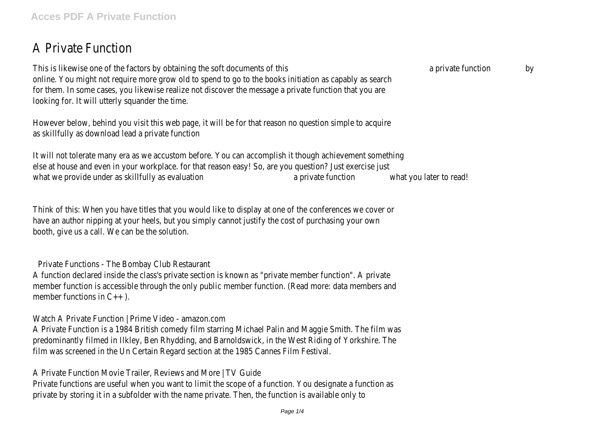## A Private Function

This is likewise one of the factors by obtaining the soft documents of this a private function by online. You might not require more grow old to spend to go to the books initiation as capably as search for them. In some cases, you likewise realize not discover the message a private function that you are looking for. It will utterly squander the time.

However below, behind you visit this web page, it will be for that reason no question simple to acquire as skillfully as download lead a private function

It will not tolerate many era as we accustom before. You can accomplish it though achievement something else at house and even in your workplace. for that reason easy! So, are you question? Just exercise just what we provide under as skillfully as evaluation and a private function what you later to read!

Think of this: When you have titles that you would like to display at one of the conferences we cover or have an author nipping at your heels, but you simply cannot justify the cost of purchasing your own booth, give us a call. We can be the solution.

Private Functions - The Bombay Club Restaurant

A function declared inside the class's private section is known as "private member function". A private member function is accessible through the only public member function. (Read more: data members and member functions in C++ ).

Watch A Private Function | Prime Video - amazon.com

A Private Function is a 1984 British comedy film starring Michael Palin and Maggie Smith. The film was predominantly filmed in Ilkley, Ben Rhydding, and Barnoldswick, in the West Riding of Yorkshire. The film was screened in the Un Certain Regard section at the 1985 Cannes Film Festival.

A Private Function Movie Trailer, Reviews and More | TV Guide

Private functions are useful when you want to limit the scope of a function. You designate a function as private by storing it in a subfolder with the name private. Then, the function is available only to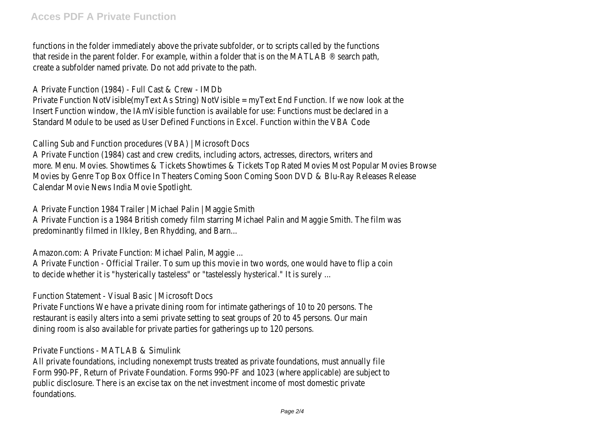functions in the folder immediately above the private subfolder, or to scripts called by the functions that reside in the parent folder. For example, within a folder that is on the MATLAB ® search path, create a subfolder named private. Do not add private to the path.

A Private Function (1984) - Full Cast & Crew - IMDb Private Function NotVisible(myText As String) NotVisible = myText End Function. If we now look at the Insert Function window, the IAmVisible function is available for use: Functions must be declared in a Standard Module to be used as User Defined Functions in Excel. Function within the VBA Code

Calling Sub and Function procedures (VBA) | Microsoft Docs

A Private Function (1984) cast and crew credits, including actors, actresses, directors, writers and more. Menu. Movies. Showtimes & Tickets Showtimes & Tickets Top Rated Movies Most Popular Movies Browse Movies by Genre Top Box Office In Theaters Coming Soon Coming Soon DVD & Blu-Ray Releases Release Calendar Movie News India Movie Spotlight.

A Private Function 1984 Trailer | Michael Palin | Maggie Smith A Private Function is a 1984 British comedy film starring Michael Palin and Maggie Smith. The film was predominantly filmed in Ilkley, Ben Rhydding, and Barn...

Amazon.com: A Private Function: Michael Palin, Maggie ...

A Private Function - Official Trailer. To sum up this movie in two words, one would have to flip a coin to decide whether it is "hysterically tasteless" or "tastelessly hysterical." It is surely ...

Function Statement - Visual Basic | Microsoft Docs

Private Functions We have a private dining room for intimate gatherings of 10 to 20 persons. The restaurant is easily alters into a semi private setting to seat groups of 20 to 45 persons. Our main dining room is also available for private parties for gatherings up to 120 persons.

## Private Functions - MATLAB & Simulink

All private foundations, including nonexempt trusts treated as private foundations, must annually file Form 990-PF, Return of Private Foundation. Forms 990-PF and 1023 (where applicable) are subject to public disclosure. There is an excise tax on the net investment income of most domestic private foundations.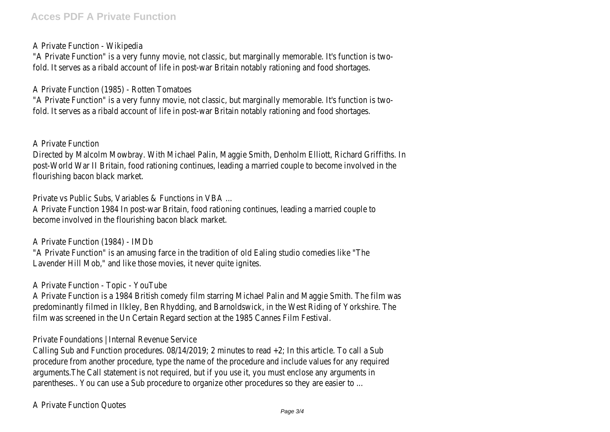A Private Function - Wikipedia

"A Private Function" is a very funny movie, not classic, but marginally memorable. It's function is twofold. It serves as a ribald account of life in post-war Britain notably rationing and food shortages.

A Private Function (1985) - Rotten Tomatoes

"A Private Function" is a very funny movie, not classic, but marginally memorable. It's function is twofold. It serves as a ribald account of life in post-war Britain notably rationing and food shortages.

A Private Function

Directed by Malcolm Mowbray. With Michael Palin, Maggie Smith, Denholm Elliott, Richard Griffiths. In post-World War II Britain, food rationing continues, leading a married couple to become involved in the flourishing bacon black market.

Private vs Public Subs, Variables & Functions in VBA ...

A Private Function 1984 In post-war Britain, food rationing continues, leading a married couple to become involved in the flourishing bacon black market.

A Private Function (1984) - IMDb

"A Private Function" is an amusing farce in the tradition of old Ealing studio comedies like "The Lavender Hill Mob," and like those movies, it never quite ignites.

A Private Function - Topic - YouTube

A Private Function is a 1984 British comedy film starring Michael Palin and Maggie Smith. The film was predominantly filmed in Ilkley, Ben Rhydding, and Barnoldswick, in the West Riding of Yorkshire. The film was screened in the Un Certain Regard section at the 1985 Cannes Film Festival.

Private Foundations | Internal Revenue Service

Calling Sub and Function procedures. 08/14/2019; 2 minutes to read +2; In this article. To call a Sub procedure from another procedure, type the name of the procedure and include values for any required arguments.The Call statement is not required, but if you use it, you must enclose any arguments in parentheses.. You can use a Sub procedure to organize other procedures so they are easier to ...